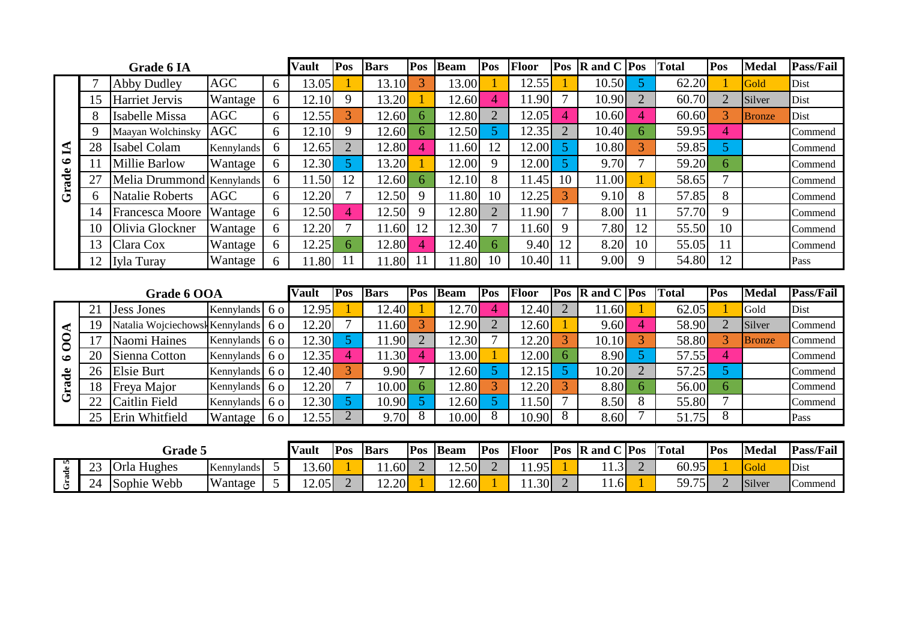|            |    | <b>Grade 6 IA</b>      | Vault        | Pos            | <b>Bars</b> | Pos            | <b>Beam</b> | Pos            | <b>Floor</b> | Pos            | $\vert$ <b>R</b> and C $\vert$ <b>Pos</b> |                | <b>Total</b> | Pos                      | <b>Medal</b> | <b>Pass/Fail</b> |               |         |
|------------|----|------------------------|--------------|----------------|-------------|----------------|-------------|----------------|--------------|----------------|-------------------------------------------|----------------|--------------|--------------------------|--------------|------------------|---------------|---------|
|            |    | <b>Abby Dudley</b>     | <b>AGC</b>   | 6              | 13.05       |                | 13.10       | 3              | 13.00        |                | 12.55                                     |                | 10.50        | 5.                       | 62.20        |                  | Gold          | Dist    |
|            | 15 | Harriet Jervis         | Wantage      | 6              | 12.10       | 9              | 13.20       |                | 12.60        | 4              | 11.90                                     |                | 10.90        | $\overline{2}$           | 60.70        | $\overline{2}$   | Silver        | Dist    |
|            | 8  | Isabelle Missa         | AGC          | 6              | 12.55       | 3              | 12.60       | 6              | 12.80        | $\overline{2}$ | 12.05                                     | 4              | 10.60        | $\boldsymbol{\varDelta}$ | 60.60        | 3                | <b>Bronze</b> | Dist    |
|            | 9  | Maayan Wolchinsky      | AGC          | 6              | 12.10       | 9              | 12.60       | 6              | 12.50        | 5 <sup>1</sup> | 12.35                                     | $\overline{2}$ | 10.40        | 6                        | 59.95        | $\overline{4}$   |               | Commend |
| 1          | 28 | Isabel Colam           | Kennylands   | 6              | 12.65       | $\overline{2}$ | 12.80       | 4              | 11.60        | 12             | 12.00                                     | 5              | 10.80        | 3                        | 59.85        | 5                |               | Commend |
| $\bullet$  | 11 | <b>Millie Barlow</b>   | Wantage      | 6              | 12.30       | 5 <sup>1</sup> | 13.20       |                | 12.00        | 9              | 12.00                                     | 5              | 9.70         |                          | 59.20        | 6                |               | Commend |
| Grade      | 27 | Melia Drummond         | Kennylands   | 6              | 11.50       | 12             | 12.60       | 6              | 12.10        | 8              | 11.45                                     | 10             | 11.00        |                          | 58.65        | $\overline{7}$   |               | Commend |
|            | 6  | <b>Natalie Roberts</b> | <b>AGC</b>   | 6              | 12.20       | 7              | 12.50       | 9              | 11.80        | 10             | 12.25                                     | 3              | 9.10         | 8                        | 57.85        | 8                |               | Commend |
|            | 14 | Francesca Moore        | Wantage      | 6              | 12.50       | $\overline{4}$ | 12.50       | 9              | 12.80        | $\overline{2}$ | 11.90                                     | $\overline{7}$ | 8.00         | 11                       | 57.70        | 9                |               | Commend |
|            | 10 | Olivia Glockner        | Wantage      | 6              | 12.20       | 7              | 11.60       | 12             | 12.30        |                | 11.60                                     | 9              | 7.80         | 12                       | 55.50        | 10               |               | Commend |
|            | 13 | Clara Cox              | Wantage      | 6              | 12.25       | 6.             | 12.80       | $\overline{4}$ | 12.40        | 6.             | 9.40                                      | 12             | 8.20         | 10                       | 55.05        | 11               |               | Commend |
|            | 12 | Iyla Turay             | Wantage      | 6              | 11.80       | 11             | 11.80       | 11             | 11.80        | 10             | 10.40                                     | 11             | 9.00         | 9                        | 54.80        | 12               |               | Pass    |
|            |    |                        |              |                |             |                |             |                |              |                |                                           |                |              |                          |              |                  |               |         |
|            |    | Grade 6 OOA            | Vault        | Pos            | <b>Bars</b> | Pos            | <b>Beam</b> | Pos            | Floor        | Pos            | $R$ and $C$ $Pos$                         |                | <b>Total</b> | Pos                      | <b>Medal</b> | Pass/Fail        |               |         |
|            | 21 | <b>Jess Jones</b>      | Kennylands   | 60             | 12.95       |                | 12.40       |                | 12.70        | 4              | 12.40                                     | $\overline{2}$ | 11.60        |                          | 62.05        |                  | Gold          | Dist    |
|            | 19 | Natalia Wojciechows    | k Kennylands | 60             | 12.20       |                | 11.60       | 3              | 12.90        | $\overline{2}$ | 12.60                                     |                | 9.60         | $\boldsymbol{\varDelta}$ | 58.90        | $\overline{2}$   | Silver        | Commend |
| <b>00A</b> | 17 | Naomi Haines           | Kennylands   | <b>60</b>      | 12.30       | $\overline{5}$ | 11.90       | $\overline{2}$ | 12.30        |                | 12.20                                     | 3              | 10.10        | 3                        | 58.80        | 3                | <b>Bronze</b> | Commend |
| $\bullet$  | 20 | Sienna Cotton          | Kennylands   | 60             | 12.35       | 4              | 11.30       | 4              | 13.00        |                | 12.00                                     | 6              | 8.90         | $\overline{5}$           | 57.55        | $\overline{4}$   |               | Commend |
|            | 26 | <b>Elsie Burt</b>      | Kennylands   | 60             | 12.40       | $\overline{3}$ | 9.90        | 7              | 12.60        | 5 <sup>1</sup> | 12.15                                     | 5              | 10.20        | $\overline{2}$           | 57.25        | 5                |               | Commend |
| Grade      | 18 | Freya Major            | Kennylands   | 60             | 12.20       | 7              | 10.00       | 6              | 12.80        | $\overline{3}$ | 12.20                                     |                | 8.80         | 6                        | 56.00        | 6                |               | Commend |
|            | 22 | Caitlin Field          | Kennylands   | 6 <sup>o</sup> | 12.30       | 5 <sup>1</sup> | 10.90       | $\overline{5}$ | 12.60        | 5.             | 11.50                                     |                | 8.50         | 8                        | 55.80        | $\overline{7}$   |               | Commend |
|            | 25 | Erin Whitfield         | Wantage      | 6 o            | 12.55       | $\overline{2}$ | 9.70        | 8              | 10.00        | 8              | 10.90                                     | 8              | 8.60         |                          | 51.75        | 8                |               | Pass    |

| Grade 5   |                               |                              |            |  | <b>Nault</b> | <b>Pos</b> | <b>Bars</b> | <b>Pos</b> | <b>Beam</b>     | Pos | Floor          | $P_{OS}$ | $\lceil$ R and C   Pos | Total | $P_{OS}$ | <b>Medal</b> | Pass/Fail   |
|-----------|-------------------------------|------------------------------|------------|--|--------------|------------|-------------|------------|-----------------|-----|----------------|----------|------------------------|-------|----------|--------------|-------------|
| <b>un</b> | $\cap$<br>رے                  | $\Omega$<br>. Hughes<br>Orla | Kennylands |  | .60          |            | 1.60        |            | $\sim$<br>.2.50 |     | Q <sub>5</sub> |          |                        | 60.95 |          | <b>Gola</b>  | <i>Dist</i> |
|           | $\bigcap$<br>$^{\prime}$<br>~ | Webb<br>Sophie               | Wantage    |  | 12.05        |            | 12.20       |            | $\sim$<br>2.60  |     | 1.30           |          | $-1.0$                 | 59.75 |          | Silver       | Commend     |